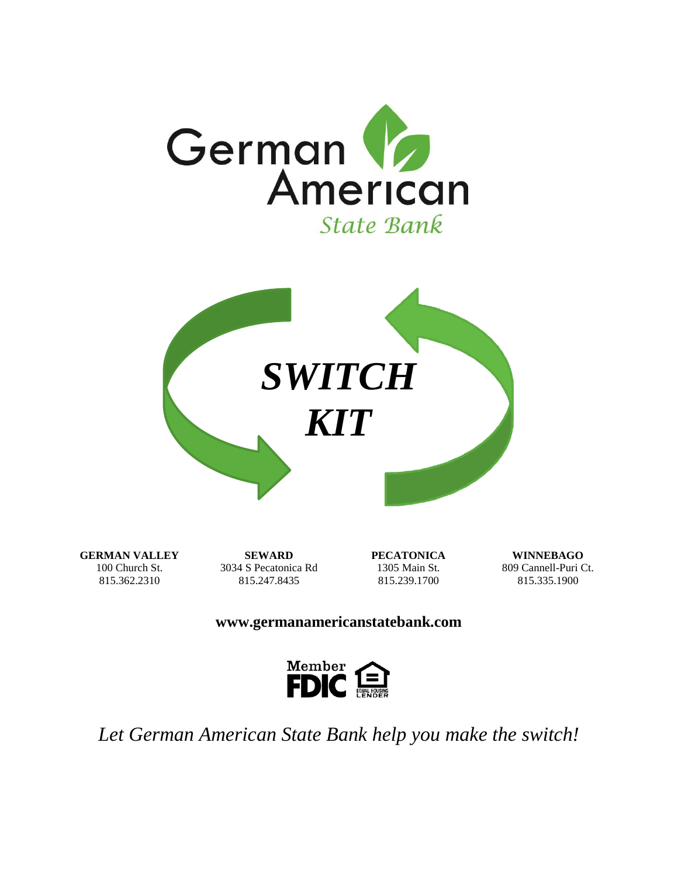



**GERMAN VALLEY** 100 Church St. 815.362.2310

**SEWARD** 3034 S Pecatonica Rd 815.247.8435

**PECATONICA** 1305 Main St. 815.239.1700

**WINNEBAGO** 809 Cannell-Puri Ct. 815.335.1900

#### **www.germanamericanstatebank.com**



*Let German American State Bank help you make the switch!*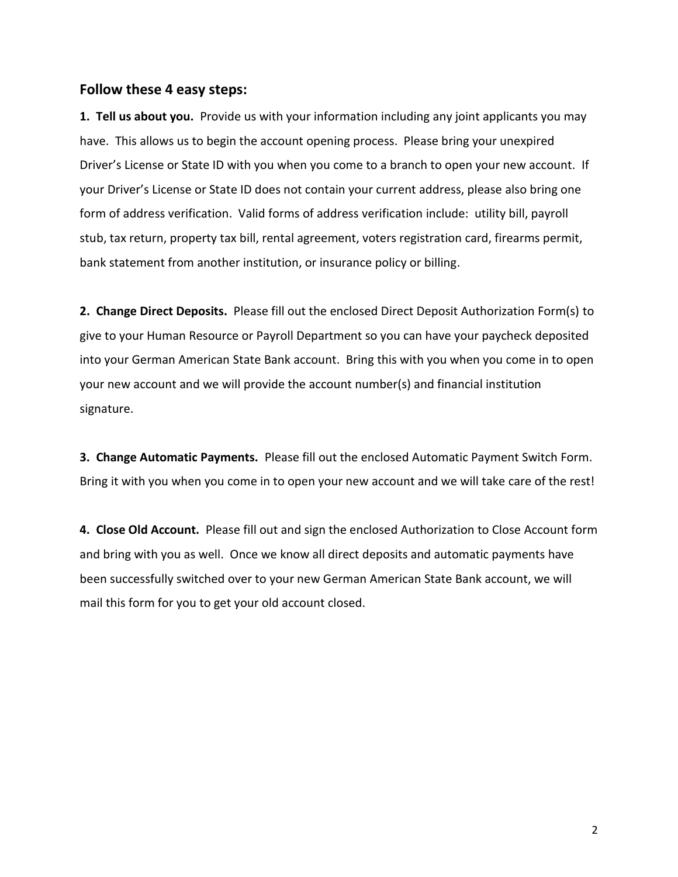#### **Follow these 4 easy steps:**

**1. Tell us about you.** Provide us with your information including any joint applicants you may have. This allows us to begin the account opening process. Please bring your unexpired Driver's License or State ID with you when you come to a branch to open your new account. If your Driver's License or State ID does not contain your current address, please also bring one form of address verification. Valid forms of address verification include: utility bill, payroll stub, tax return, property tax bill, rental agreement, voters registration card, firearms permit, bank statement from another institution, or insurance policy or billing.

**2. Change Direct Deposits.** Please fill out the enclosed Direct Deposit Authorization Form(s) to give to your Human Resource or Payroll Department so you can have your paycheck deposited into your German American State Bank account. Bring this with you when you come in to open your new account and we will provide the account number(s) and financial institution signature.

**3. Change Automatic Payments.** Please fill out the enclosed Automatic Payment Switch Form. Bring it with you when you come in to open your new account and we will take care of the rest!

**4. Close Old Account.** Please fill out and sign the enclosed Authorization to Close Account form and bring with you as well. Once we know all direct deposits and automatic payments have been successfully switched over to your new German American State Bank account, we will mail this form for you to get your old account closed.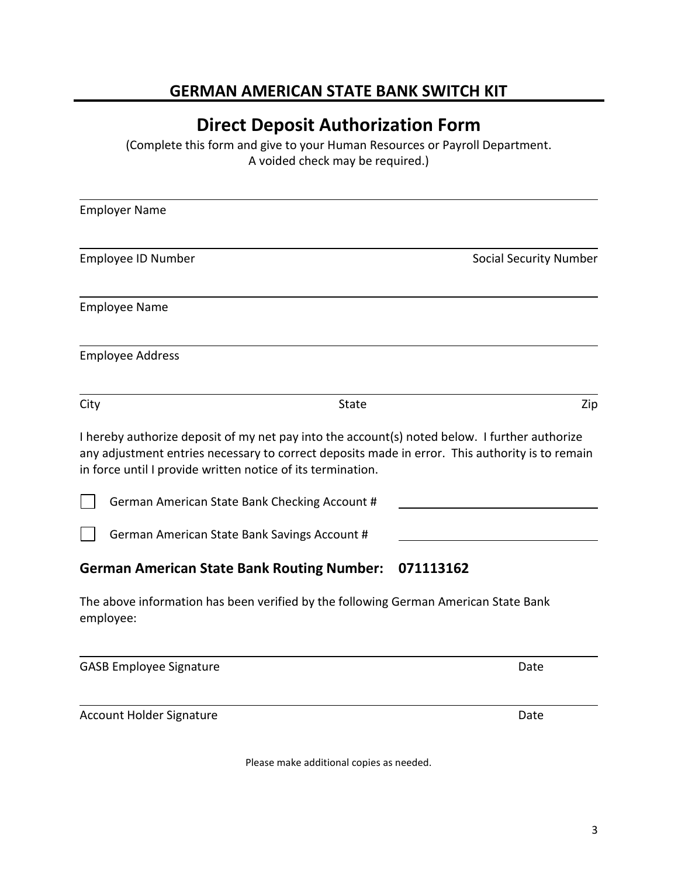#### **GERMAN AMERICAN STATE BANK SWITCH KIT**

## **Direct Deposit Authorization Form**

(Complete this form and give to your Human Resources or Payroll Department. A voided check may be required.)

| <b>Employer Name</b>                                                                             |                                          |                                                                                                                                                                                                  |
|--------------------------------------------------------------------------------------------------|------------------------------------------|--------------------------------------------------------------------------------------------------------------------------------------------------------------------------------------------------|
| Employee ID Number                                                                               |                                          | <b>Social Security Number</b>                                                                                                                                                                    |
| <b>Employee Name</b>                                                                             |                                          |                                                                                                                                                                                                  |
| <b>Employee Address</b>                                                                          |                                          |                                                                                                                                                                                                  |
| City                                                                                             | <b>State</b>                             | Zip                                                                                                                                                                                              |
| in force until I provide written notice of its termination.                                      |                                          | I hereby authorize deposit of my net pay into the account(s) noted below. I further authorize<br>any adjustment entries necessary to correct deposits made in error. This authority is to remain |
| German American State Bank Checking Account #                                                    |                                          |                                                                                                                                                                                                  |
| German American State Bank Savings Account #                                                     |                                          |                                                                                                                                                                                                  |
| <b>German American State Bank Routing Number:</b>                                                |                                          | 071113162                                                                                                                                                                                        |
| The above information has been verified by the following German American State Bank<br>employee: |                                          |                                                                                                                                                                                                  |
| <b>GASB Employee Signature</b>                                                                   |                                          | Date                                                                                                                                                                                             |
| <b>Account Holder Signature</b>                                                                  |                                          | Date                                                                                                                                                                                             |
|                                                                                                  | Please make additional copies as needed. |                                                                                                                                                                                                  |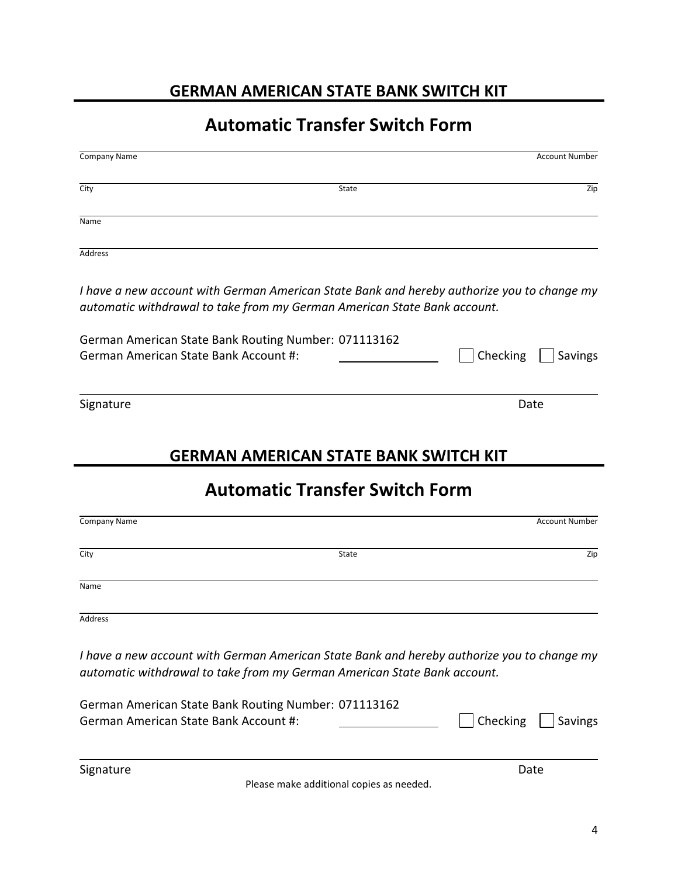### **GERMAN AMERICAN STATE BANK SWITCH KIT**

# **Automatic Transfer Switch Form**

| City<br>State                                                                                                                                                          | Zip                        |
|------------------------------------------------------------------------------------------------------------------------------------------------------------------------|----------------------------|
| Name                                                                                                                                                                   |                            |
| <b>Address</b>                                                                                                                                                         |                            |
| I have a new account with German American State Bank and hereby authorize you to change my<br>automatic withdrawal to take from my German American State Bank account. |                            |
| German American State Bank Routing Number: 071113162<br>German American State Bank Account #:                                                                          | Checking<br><b>Savings</b> |
| Signature                                                                                                                                                              | Date                       |
|                                                                                                                                                                        |                            |
| <b>GERMAN AMERICAN STATE BANK SWITCH KIT</b>                                                                                                                           |                            |
| <b>Automatic Transfer Switch Form</b>                                                                                                                                  |                            |
| Company Name                                                                                                                                                           | <b>Account Number</b>      |
| City<br><b>State</b>                                                                                                                                                   | Zip                        |
| Name                                                                                                                                                                   |                            |
| Address                                                                                                                                                                |                            |
| I have a new account with German American State Bank and hereby authorize you to change my<br>automatic withdrawal to take from my German American State Bank account. |                            |
| German American State Bank Routing Number: 071113162                                                                                                                   |                            |
| German American State Bank Account #:                                                                                                                                  | Checking<br><b>Savings</b> |